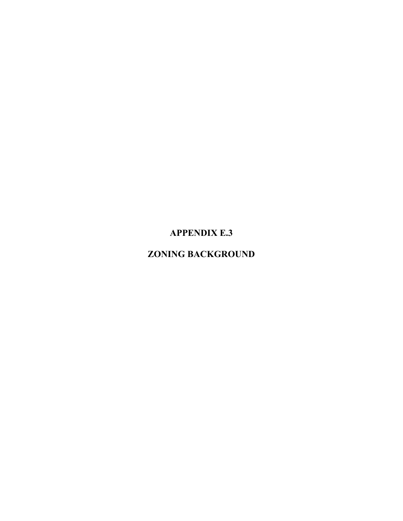# **APPENDIX E.3**

## **ZONING BACKGROUND**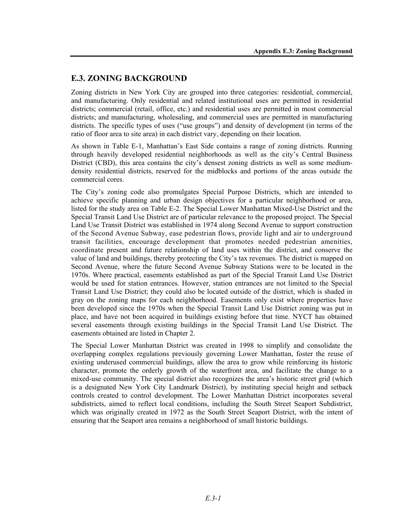### **E.3. ZONING BACKGROUND**

Zoning districts in New York City are grouped into three categories: residential, commercial, and manufacturing. Only residential and related institutional uses are permitted in residential districts; commercial (retail, office, etc.) and residential uses are permitted in most commercial districts; and manufacturing, wholesaling, and commercial uses are permitted in manufacturing districts. The specific types of uses ("use groups") and density of development (in terms of the ratio of floor area to site area) in each district vary, depending on their location.

As shown in Table E-1, Manhattan's East Side contains a range of zoning districts. Running through heavily developed residential neighborhoods as well as the city's Central Business District (CBD), this area contains the city's densest zoning districts as well as some mediumdensity residential districts, reserved for the midblocks and portions of the areas outside the commercial cores.

The City's zoning code also promulgates Special Purpose Districts, which are intended to achieve specific planning and urban design objectives for a particular neighborhood or area, listed for the study area on Table E-2. The Special Lower Manhattan Mixed-Use District and the Special Transit Land Use District are of particular relevance to the proposed project. The Special Land Use Transit District was established in 1974 along Second Avenue to support construction of the Second Avenue Subway, ease pedestrian flows, provide light and air to underground transit facilities, encourage development that promotes needed pedestrian amenities, coordinate present and future relationship of land uses within the district, and conserve the value of land and buildings, thereby protecting the City's tax revenues. The district is mapped on Second Avenue, where the future Second Avenue Subway Stations were to be located in the 1970s. Where practical, easements established as part of the Special Transit Land Use District would be used for station entrances. However, station entrances are not limited to the Special Transit Land Use District; they could also be located outside of the district, which is shaded in gray on the zoning maps for each neighborhood. Easements only exist where properties have been developed since the 1970s when the Special Transit Land Use District zoning was put in place, and have not been acquired in buildings existing before that time. NYCT has obtained several easements through existing buildings in the Special Transit Land Use District. The easements obtained are listed in Chapter 2.

The Special Lower Manhattan District was created in 1998 to simplify and consolidate the overlapping complex regulations previously governing Lower Manhattan, foster the reuse of existing underused commercial buildings, allow the area to grow while reinforcing its historic character, promote the orderly growth of the waterfront area, and facilitate the change to a mixed-use community. The special district also recognizes the area's historic street grid (which is a designated New York City Landmark District), by instituting special height and setback controls created to control development. The Lower Manhattan District incorporates several subdistricts, aimed to reflect local conditions, including the South Street Seaport Subdistrict, which was originally created in 1972 as the South Street Seaport District, with the intent of ensuring that the Seaport area remains a neighborhood of small historic buildings.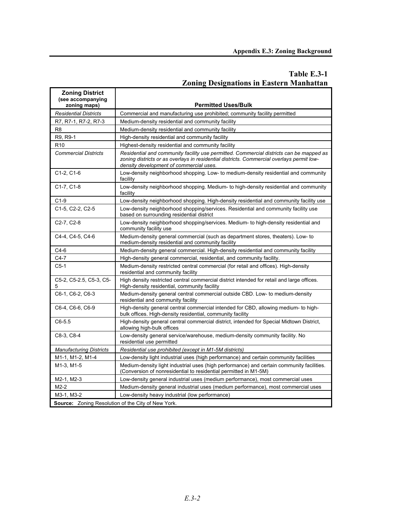#### **Table E.3-1 Zoning Designations in Eastern Manhattan**

| <b>Zoning District</b><br>(see accompanying<br>zoning maps) | <b>Permitted Uses/Bulk</b>                                                                                                                                                                                                      |
|-------------------------------------------------------------|---------------------------------------------------------------------------------------------------------------------------------------------------------------------------------------------------------------------------------|
| <b>Residential Districts</b>                                | Commercial and manufacturing use prohibited; community facility permitted                                                                                                                                                       |
| R7, R7-1, R7-2, R7-3                                        | Medium-density residential and community facility                                                                                                                                                                               |
| R <sub>8</sub>                                              | Medium-density residential and community facility                                                                                                                                                                               |
| R9, R9-1                                                    | High-density residential and community facility                                                                                                                                                                                 |
| R <sub>10</sub>                                             | Highest-density residential and community facility                                                                                                                                                                              |
| <b>Commercial Districts</b>                                 | Residential and community facility use permitted. Commercial districts can be mapped as<br>zoning districts or as overlays in residential districts. Commercial overlays permit low-<br>density development of commercial uses. |
| $C1-2, C1-6$                                                | Low-density neighborhood shopping. Low- to medium-density residential and community<br>facility                                                                                                                                 |
| C1-7, C1-8                                                  | Low-density neighborhood shopping. Medium- to high-density residential and community<br>facility                                                                                                                                |
| $C1-9$                                                      | Low-density neighborhood shopping. High-density residential and community facility use                                                                                                                                          |
| C1-5, C2-2, C2-5                                            | Low-density neighborhood shopping/services. Residential and community facility use<br>based on surrounding residential district                                                                                                 |
| C <sub>2</sub> -7, C <sub>2</sub> -8                        | Low-density neighborhood shopping/services. Medium- to high-density residential and<br>community facility use                                                                                                                   |
| C4-4, C4-5, C4-6                                            | Medium-density general commercial (such as department stores, theaters). Low- to<br>medium-density residential and community facility                                                                                           |
| $C4-6$                                                      | Medium-density general commercial. High-density residential and community facility                                                                                                                                              |
| $C4-7$                                                      | High-density general commercial, residential, and community facility.                                                                                                                                                           |
| $C5-1$                                                      | Medium-density restricted central commercial (for retail and offices). High-density<br>residential and community facility                                                                                                       |
| C5-2, C5-2.5, C5-3, C5-<br>5                                | High density restricted central commercial district intended for retail and large offices.<br>High-density residential, community facility                                                                                      |
| C6-1, C6-2, C6-3                                            | Medium-density general central commercial outside CBD. Low- to medium-density<br>residential and community facility                                                                                                             |
| C6-4, C6-6, C6-9                                            | High-density general central commercial intended for CBD, allowing medium- to high-<br>bulk offices. High-density residential, community facility                                                                               |
| $C6-5.5$                                                    | High-density general central commercial district, intended for Special Midtown District,<br>allowing high-bulk offices                                                                                                          |
| C8-3, C8-4                                                  | Low-density general service/warehouse, medium-density community facility. No<br>residential use permitted                                                                                                                       |
| <b>Manufacturing Districts</b>                              | Residential use prohibited (except in M1-5M districts)                                                                                                                                                                          |
| M1-1, M1-2, M1-4                                            | Low-density light industrial uses (high performance) and certain community facilities                                                                                                                                           |
| M1-3. M1-5                                                  | Medium-density light industrial uses (high performance) and certain community facilities.<br>(Conversion of nonresidential to residential permitted in M1-5M)                                                                   |
| M2-1, M2-3                                                  | Low-density general industrial uses (medium performance), most commercial uses                                                                                                                                                  |
| $M2-2$                                                      | Medium-density general industrial uses (medium performance), most commercial uses                                                                                                                                               |
| M3-1. M3-2                                                  | Low-density heavy industrial (low performance)                                                                                                                                                                                  |
|                                                             | <b>Source:</b> Zoning Resolution of the City of New York.                                                                                                                                                                       |